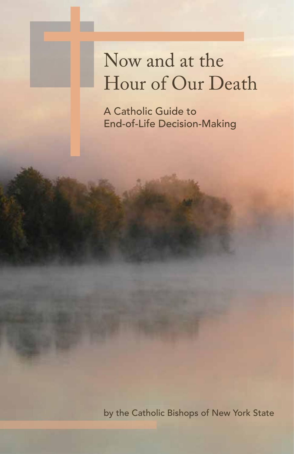# Now and at the Hour of Our Death

A Catholic Guide to End-of-Life Decision-Making

by the Catholic Bishops of New York State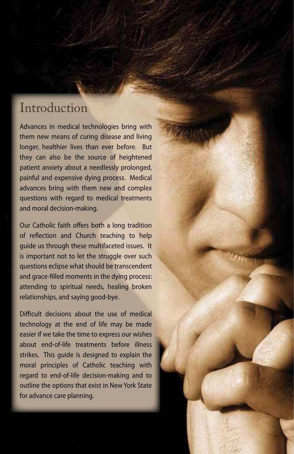### **Introduction**

Advances in medical technologies bring with them new means of curing disease and living longer, healthier lives than ever before. But they can also be the source of heightened patient anxiety about a needlessly prolonged, painful and expensive dying process. Medical advances bring with them new and complex questions with regard to medical treatments and moral decision-making.

Our Catholic faith offers both a long tradition of reflection and Church teaching to help guide us through these multifaceted issues. It is important not to let the struggle over such questions eclipse what should be transcendent and grace-filled moments in the dying process: attending to spiritual needs, healing broken relationships, and saying good-bye.

Difficult decisions about the use of medical technology at the end of life may be made easier if we take the time to express our wishes about end-of-life treatments before illness strikes. This guide is designed to explain the moral principles of Catholic teaching with regard to end-of-life decision-making and to outline the options that exist in New York State for advance care planning.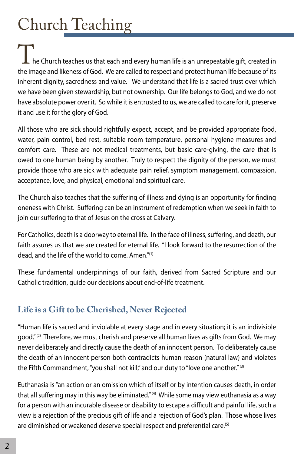# Church Teaching

he Church teaches us that each and every human life is an unrepeatable gift, created in the image and likeness of God. We are called to respect and protect human life because of its inherent dignity, sacredness and value. We understand that life is a sacred trust over which we have been given stewardship, but not ownership. Our life belongs to God, and we do not have absolute power over it. So while it is entrusted to us, we are called to care for it, preserve it and use it for the glory of God.

All those who are sick should rightfully expect, accept, and be provided appropriate food, water, pain control, bed rest, suitable room temperature, personal hygiene measures and comfort care. These are not medical treatments, but basic care-giving, the care that is owed to one human being by another. Truly to respect the dignity of the person, we must provide those who are sick with adequate pain relief, symptom management, compassion, acceptance, love, and physical, emotional and spiritual care.

The Church also teaches that the suffering of illness and dying is an opportunity for finding oneness with Christ. Suffering can be an instrument of redemption when we seek in faith to join our suffering to that of Jesus on the cross at Calvary.

For Catholics, death is a doorway to eternal life. In the face of illness, suffering, and death, our faith assures us that we are created for eternal life. "I look forward to the resurrection of the dead, and the life of the world to come. Amen."(1)

These fundamental underpinnings of our faith, derived from Sacred Scripture and our Catholic tradition, guide our decisions about end-of-life treatment.

### **Life is a Gift to be Cherished, Never Rejected**

"Human life is sacred and inviolable at every stage and in every situation; it is an indivisible good." $(2)$  Therefore, we must cherish and preserve all human lives as gifts from God. We may never deliberately and directly cause the death of an innocent person. To deliberately cause the death of an innocent person both contradicts human reason (natural law) and violates the Fifth Commandment, "you shall not kill," and our duty to "love one another." (3)

Euthanasia is "an action or an omission which of itself or by intention causes death, in order that all suffering may in this way be eliminated."<sup>(4)</sup> While some may view euthanasia as a way for a person with an incurable disease or disability to escape a difficult and painful life, such a view is a rejection of the precious gift of life and a rejection of God's plan. Those whose lives are diminished or weakened deserve special respect and preferential care.<sup>(5)</sup>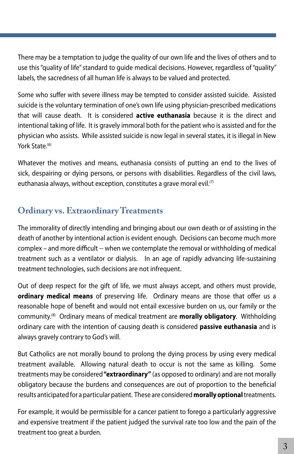There may be a temptation to judge the quality of our own life and the lives of others and to use this "quality of life" standard to guide medical decisions. However, regardless of "quality" labels, the sacredness of all human life is always to be valued and protected.

Some who suffer with severe illness may be tempted to consider assisted suicide. Assisted suicide is the voluntary termination of one's own life using physician-prescribed medications that will cause death. It is considered **active euthanasia** because it is the direct and intentional taking of life. It is gravely immoral both for the patient who is assisted and for the physician who assists. While assisted suicide is now legal in several states, it is illegal in New York State<sup>(6)</sup>

Whatever the motives and means, euthanasia consists of putting an end to the lives of sick, despairing or dying persons, or persons with disabilities. Regardless of the civil laws, euthanasia always, without exception, constitutes a grave moral evil.<sup>(7)</sup>

### **Ordinary vs. Extraordinary Treatments**

The immorality of directly intending and bringing about our own death or of assisting in the death of another by intentional action is evident enough. Decisions can become much more complex – and more difficult -- when we contemplate the removal or withholding of medical treatment such as a ventilator or dialysis. In an age of rapidly advancing life-sustaining treatment technologies, such decisions are not infrequent.

Out of deep respect for the gift of life, we must always accept, and others must provide, **ordinary medical means** of preserving life. Ordinary means are those that offer us a reasonable hope of benefit and would not entail excessive burden on us, our family or the community.(8) Ordinary means of medical treatment are **morally obligatory**. Withholding ordinary care with the intention of causing death is considered **passive euthanasia** and is always gravely contrary to God's will.

But Catholics are not morally bound to prolong the dying process by using every medical treatment available. Allowing natural death to occur is not the same as killing. Some treatments may be considered **"extraordinary"** (as opposed to ordinary) and are not morally obligatory because the burdens and consequences are out of proportion to the beneficial results anticipated for a particular patient. These are considered **morally optional** treatments.

For example, it would be permissible for a cancer patient to forego a particularly aggressive and expensive treatment if the patient judged the survival rate too low and the pain of the treatment too great a burden.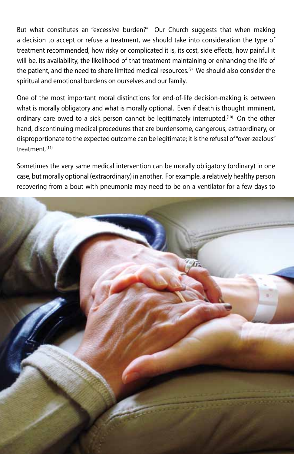But what constitutes an "excessive burden?" Our Church suggests that when making a decision to accept or refuse a treatment, we should take into consideration the type of treatment recommended, how risky or complicated it is, its cost, side effects, how painful it will be, its availability, the likelihood of that treatment maintaining or enhancing the life of the patient, and the need to share limited medical resources.<sup>(9)</sup> We should also consider the spiritual and emotional burdens on ourselves and our family.

One of the most important moral distinctions for end-of-life decision-making is between what is morally obligatory and what is morally optional. Even if death is thought imminent, ordinary care owed to a sick person cannot be legitimately interrupted.<sup>(10)</sup> On the other hand, discontinuing medical procedures that are burdensome, dangerous, extraordinary, or disproportionate to the expected outcome can be legitimate; it is the refusal of "over-zealous" treatment<sup>(11)</sup>

Sometimes the very same medical intervention can be morally obligatory (ordinary) in one case, but morally optional (extraordinary) in another. For example, a relatively healthy person recovering from a bout with pneumonia may need to be on a ventilator for a few days to

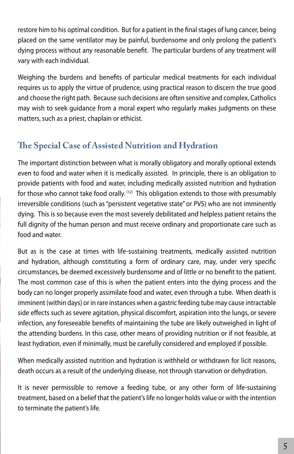restore him to his optimal condition. But for a patient in the final stages of lung cancer, being placed on the same ventilator may be painful, burdensome and only prolong the patient's dying process without any reasonable benefit. The particular burdens of any treatment will vary with each individual.

Weighing the burdens and benefits of particular medical treatments for each individual requires us to apply the virtue of prudence, using practical reason to discern the true good and choose the right path. Because such decisions are often sensitive and complex, Catholics may wish to seek guidance from a moral expert who regularly makes judgments on these matters, such as a priest, chaplain or ethicist.

### **The Special Case of Assisted Nutrition and Hydration**

The important distinction between what is morally obligatory and morally optional extends even to food and water when it is medically assisted. In principle, there is an obligation to provide patients with food and water, including medically assisted nutrition and hydration for those who cannot take food orally.<sup>(12)</sup> This obligation extends to those with presumably irreversible conditions (such as "persistent vegetative state" or PVS) who are not imminently dying. This is so because even the most severely debilitated and helpless patient retains the full dignity of the human person and must receive ordinary and proportionate care such as food and water.

But as is the case at times with life-sustaining treatments, medically assisted nutrition and hydration, although constituting a form of ordinary care, may, under very specific circumstances, be deemed excessively burdensome and of little or no benefit to the patient. The most common case of this is when the patient enters into the dying process and the body can no longer properly assimilate food and water, even through a tube. When death is imminent (within days) or in rare instances when a gastric feeding tube may cause intractable side effects such as severe agitation, physical discomfort, aspiration into the lungs, or severe infection, any foreseeable benefits of maintaining the tube are likely outweighed in light of the attending burdens. In this case, other means of providing nutrition or if not feasible, at least hydration, even if minimally, must be carefully considered and employed if possible.

When medically assisted nutrition and hydration is withheld or withdrawn for licit reasons, death occurs as a result of the underlying disease, not through starvation or dehydration.

It is never permissible to remove a feeding tube, or any other form of life-sustaining treatment, based on a belief that the patient's life no longer holds value or with the intention to terminate the patient's life.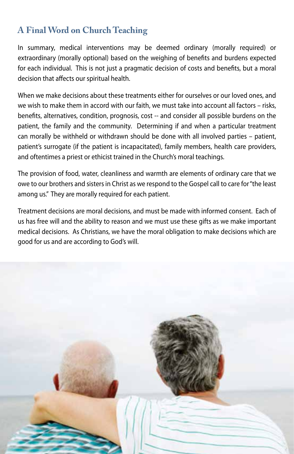### **A Final Word on Church Teaching**

In summary, medical interventions may be deemed ordinary (morally required) or extraordinary (morally optional) based on the weighing of benefits and burdens expected for each individual. This is not just a pragmatic decision of costs and benefits, but a moral decision that affects our spiritual health.

When we make decisions about these treatments either for ourselves or our loved ones, and we wish to make them in accord with our faith, we must take into account all factors – risks, benefits, alternatives, condition, prognosis, cost -- and consider all possible burdens on the patient, the family and the community. Determining if and when a particular treatment can morally be withheld or withdrawn should be done with all involved parties – patient, patient's surrogate (if the patient is incapacitated), family members, health care providers, and oftentimes a priest or ethicist trained in the Church's moral teachings.

The provision of food, water, cleanliness and warmth are elements of ordinary care that we owe to our brothers and sisters in Christ as we respond to the Gospel call to care for "the least among us." They are morally required for each patient.

Treatment decisions are moral decisions, and must be made with informed consent. Each of us has free will and the ability to reason and we must use these gifts as we make important medical decisions. As Christians, we have the moral obligation to make decisions which are good for us and are according to God's will.

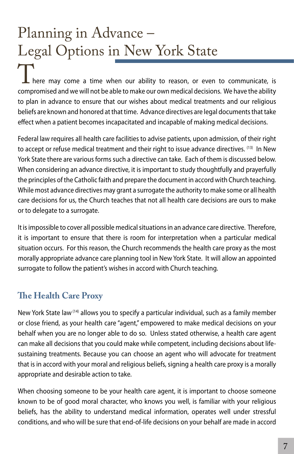# Planning in Advance – Legal Options in New York State

here may come a time when our ability to reason, or even to communicate, is compromised and we will not be able to make our own medical decisions. We have the ability to plan in advance to ensure that our wishes about medical treatments and our religious beliefs are known and honored at that time. Advance directives are legal documents that take effect when a patient becomes incapacitated and incapable of making medical decisions.

Federal law requires all health care facilities to advise patients, upon admission, of their right to accept or refuse medical treatment and their right to issue advance directives. (13) In New York State there are various forms such a directive can take. Each of them is discussed below. When considering an advance directive, it is important to study thoughtfully and prayerfully the principles of the Catholic faith and prepare the document in accord with Church teaching. While most advance directives may grant a surrogate the authority to make some or all health care decisions for us, the Church teaches that not all health care decisions are ours to make or to delegate to a surrogate.

It is impossible to cover all possible medical situations in an advance care directive. Therefore, it is important to ensure that there is room for interpretation when a particular medical situation occurs. For this reason, the Church recommends the health care proxy as the most morally appropriate advance care planning tool in New York State. It will allow an appointed surrogate to follow the patient's wishes in accord with Church teaching.

### **The Health Care Proxy**

New York State law<sup>(14)</sup> allows you to specify a particular individual, such as a family member or close friend, as your health care "agent," empowered to make medical decisions on your behalf when you are no longer able to do so. Unless stated otherwise, a health care agent can make all decisions that you could make while competent, including decisions about lifesustaining treatments. Because you can choose an agent who will advocate for treatment that is in accord with your moral and religious beliefs, signing a health care proxy is a morally appropriate and desirable action to take.

When choosing someone to be your health care agent, it is important to choose someone known to be of good moral character, who knows you well, is familiar with your religious beliefs, has the ability to understand medical information, operates well under stressful conditions, and who will be sure that end-of-life decisions on your behalf are made in accord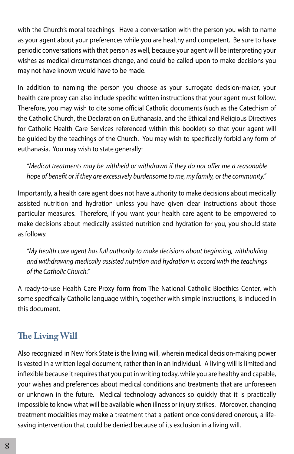with the Church's moral teachings. Have a conversation with the person you wish to name as your agent about your preferences while you are healthy and competent. Be sure to have periodic conversations with that person as well, because your agent will be interpreting your wishes as medical circumstances change, and could be called upon to make decisions you may not have known would have to be made.

In addition to naming the person you choose as your surrogate decision-maker, your health care proxy can also include specific written instructions that your agent must follow. Therefore, you may wish to cite some official Catholic documents (such as the Catechism of the Catholic Church, the Declaration on Euthanasia, and the Ethical and Religious Directives for Catholic Health Care Services referenced within this booklet) so that your agent will be guided by the teachings of the Church. You may wish to specifically forbid any form of euthanasia. You may wish to state generally:

*"Medical treatments may be withheld or withdrawn if they do not offer me a reasonable hope of benefit or if they are excessively burdensome to me, my family, or the community."*

Importantly, a health care agent does not have authority to make decisions about medically assisted nutrition and hydration unless you have given clear instructions about those particular measures. Therefore, if you want your health care agent to be empowered to make decisions about medically assisted nutrition and hydration for you, you should state as follows:

*"My health care agent has full authority to make decisions about beginning, withholding and withdrawing medically assisted nutrition and hydration in accord with the teachings of the Catholic Church."*

A ready-to-use Health Care Proxy form from The National Catholic Bioethics Center, with some specifically Catholic language within, together with simple instructions, is included in this document.

### **The Living Will**

Also recognized in New York State is the living will, wherein medical decision-making power is vested in a written legal document, rather than in an individual. A living will is limited and inflexible because it requires that you put in writing today, while you are healthy and capable, your wishes and preferences about medical conditions and treatments that are unforeseen or unknown in the future. Medical technology advances so quickly that it is practically impossible to know what will be available when illness or injury strikes. Moreover, changing treatment modalities may make a treatment that a patient once considered onerous, a lifesaving intervention that could be denied because of its exclusion in a living will.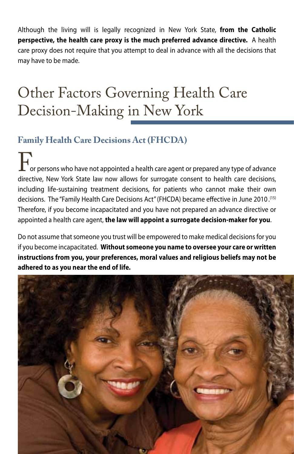Although the living will is legally recognized in New York State, **from the Catholic perspective, the health care proxy is the much preferred advance directive.** A health care proxy does not require that you attempt to deal in advance with all the decisions that may have to be made.

### Other Factors Governing Health Care Decision-Making in New York

### **Family Health Care Decisions Act (FHCDA)**

or persons who have not appointed a health care agent or prepared any type of advance directive, New York State law now allows for surrogate consent to health care decisions, including life-sustaining treatment decisions, for patients who cannot make their own decisions. The "Family Health Care Decisions Act" (FHCDA) became effective in June 2010.<sup>(15)</sup> Therefore, if you become incapacitated and you have not prepared an advance directive or appointed a health care agent, **the law will appoint a surrogate decision-maker for you**.

Do not assume that someone you trust will be empowered to make medical decisions for you if you become incapacitated. **Without someone you name to oversee your care or written instructions from you, your preferences, moral values and religious beliefs may not be adhered to as you near the end of life.**

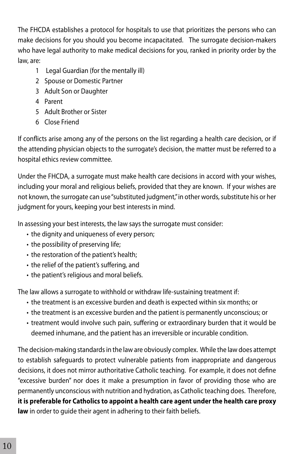The FHCDA establishes a protocol for hospitals to use that prioritizes the persons who can make decisions for you should you become incapacitated. The surrogate decision-makers who have legal authority to make medical decisions for you, ranked in priority order by the law, are:

- 1 Legal Guardian (for the mentally ill)
- 2 Spouse or Domestic Partner
- 3 Adult Son or Daughter
- 4 Parent
- 5 Adult Brother or Sister
- 6 Close Friend

If conflicts arise among any of the persons on the list regarding a health care decision, or if the attending physician objects to the surrogate's decision, the matter must be referred to a hospital ethics review committee.

Under the FHCDA, a surrogate must make health care decisions in accord with your wishes, including your moral and religious beliefs, provided that they are known. If your wishes are not known, the surrogate can use "substituted judgment," in other words, substitute his or her judgment for yours, keeping your best interests in mind.

In assessing your best interests, the law says the surrogate must consider:

- the dignity and uniqueness of every person;
- the possibility of preserving life;
- the restoration of the patient's health;
- the relief of the patient's suffering, and
- the patient's religious and moral beliefs.

The law allows a surrogate to withhold or withdraw life-sustaining treatment if:

- the treatment is an excessive burden and death is expected within six months; or
- the treatment is an excessive burden and the patient is permanently unconscious; or
- treatment would involve such pain, suffering or extraordinary burden that it would be deemed inhumane, and the patient has an irreversible or incurable condition.

The decision-making standards in the law are obviously complex. While the law does attempt to establish safeguards to protect vulnerable patients from inappropriate and dangerous decisions, it does not mirror authoritative Catholic teaching. For example, it does not define "excessive burden" nor does it make a presumption in favor of providing those who are permanently unconscious with nutrition and hydration, as Catholic teaching does. Therefore, **it is preferable for Catholics to appoint a health care agent under the health care proxy law** in order to guide their agent in adhering to their faith beliefs.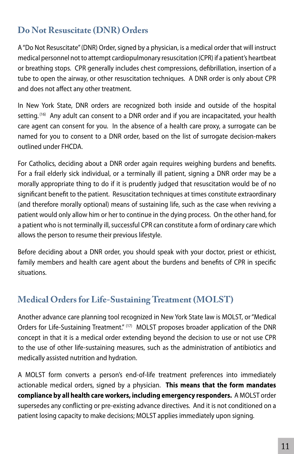### **Do Not Resuscitate (DNR) Orders**

A "Do Not Resuscitate" (DNR) Order, signed by a physician, is a medical order that will instruct medical personnel not to attempt cardiopulmonary resuscitation (CPR) if a patient's heartbeat or breathing stops. CPR generally includes chest compressions, defibrillation, insertion of a tube to open the airway, or other resuscitation techniques. A DNR order is only about CPR and does not affect any other treatment.

In New York State, DNR orders are recognized both inside and outside of the hospital setting.  $^{16}$  Any adult can consent to a DNR order and if you are incapacitated, your health care agent can consent for you. In the absence of a health care proxy, a surrogate can be named for you to consent to a DNR order, based on the list of surrogate decision-makers outlined under FHCDA.

For Catholics, deciding about a DNR order again requires weighing burdens and benefits. For a frail elderly sick individual, or a terminally ill patient, signing a DNR order may be a morally appropriate thing to do if it is prudently judged that resuscitation would be of no significant benefit to the patient. Resuscitation techniques at times constitute extraordinary (and therefore morally optional) means of sustaining life, such as the case when reviving a patient would only allow him or her to continue in the dying process. On the other hand, for a patient who is not terminally ill, successful CPR can constitute a form of ordinary care which allows the person to resume their previous lifestyle.

Before deciding about a DNR order, you should speak with your doctor, priest or ethicist, family members and health care agent about the burdens and benefits of CPR in specific situations.

#### **Medical Orders for Life-Sustaining Treatment (MOLST)**

Another advance care planning tool recognized in New York State law is MOLST, or "Medical Orders for Life-Sustaining Treatment." (17) MOLST proposes broader application of the DNR concept in that it is a medical order extending beyond the decision to use or not use CPR to the use of other life-sustaining measures, such as the administration of antibiotics and medically assisted nutrition and hydration.

A MOLST form converts a person's end-of-life treatment preferences into immediately actionable medical orders, signed by a physician. **This means that the form mandates compliance by all health care workers, including emergency responders.** A MOLST order supersedes any conflicting or pre-existing advance directives. And it is not conditioned on a patient losing capacity to make decisions; MOLST applies immediately upon signing.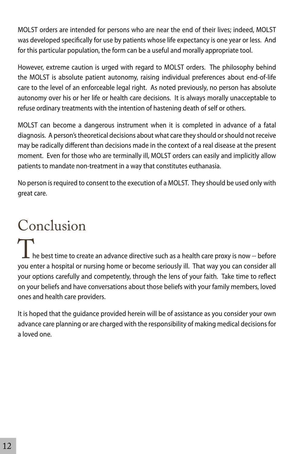MOLST orders are intended for persons who are near the end of their lives; indeed, MOLST was developed specifically for use by patients whose life expectancy is one year or less. And for this particular population, the form can be a useful and morally appropriate tool.

However, extreme caution is urged with regard to MOLST orders. The philosophy behind the MOLST is absolute patient autonomy, raising individual preferences about end-of-life care to the level of an enforceable legal right. As noted previously, no person has absolute autonomy over his or her life or health care decisions. It is always morally unacceptable to refuse ordinary treatments with the intention of hastening death of self or others.

MOLST can become a dangerous instrument when it is completed in advance of a fatal diagnosis. A person's theoretical decisions about what care they should or should not receive may be radically different than decisions made in the context of a real disease at the present moment. Even for those who are terminally ill, MOLST orders can easily and implicitly allow patients to mandate non-treatment in a way that constitutes euthanasia.

No person is required to consent to the execution of a MOLST. They should be used only with great care.

# Conclusion

he best time to create an advance directive such as a health care proxy is now -- before you enter a hospital or nursing home or become seriously ill. That way you can consider all your options carefully and competently, through the lens of your faith. Take time to reflect on your beliefs and have conversations about those beliefs with your family members, loved ones and health care providers.

It is hoped that the guidance provided herein will be of assistance as you consider your own advance care planning or are charged with the responsibility of making medical decisions for a loved one.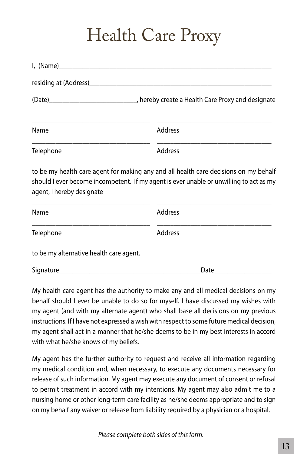## Health Care Proxy

| I, (Name)                               |                                                                                                                                                                                                                                |
|-----------------------------------------|--------------------------------------------------------------------------------------------------------------------------------------------------------------------------------------------------------------------------------|
|                                         |                                                                                                                                                                                                                                |
|                                         | (Date) [Date] Represent the contract of the contract of the contract of the contract of the contract of the contract of the contract of the contract of the contract of the contract of the contract of the contract of the co |
| Name                                    | Address                                                                                                                                                                                                                        |
| Telephone                               | Address                                                                                                                                                                                                                        |
| agent, I hereby designate               | to be my health care agent for making any and all health care decisions on my behalf<br>should I ever become incompetent. If my agent is ever unable or unwilling to act as my                                                 |
| Name                                    | <b>Address</b>                                                                                                                                                                                                                 |
| Telephone                               | <b>Address</b>                                                                                                                                                                                                                 |
| to be my alternative health care agent. |                                                                                                                                                                                                                                |

Signature\_\_\_\_\_\_\_\_\_\_\_\_\_\_\_\_\_\_\_\_\_\_\_\_\_\_\_\_\_\_\_\_\_\_\_\_\_\_\_\_\_\_Date\_\_\_\_\_\_\_\_\_\_\_\_\_\_\_\_\_

My health care agent has the authority to make any and all medical decisions on my behalf should I ever be unable to do so for myself. I have discussed my wishes with my agent (and with my alternate agent) who shall base all decisions on my previous instructions. If I have not expressed a wish with respect to some future medical decision, my agent shall act in a manner that he/she deems to be in my best interests in accord with what he/she knows of my beliefs.

My agent has the further authority to request and receive all information regarding my medical condition and, when necessary, to execute any documents necessary for release of such information. My agent may execute any document of consent or refusal to permit treatment in accord with my intentions. My agent may also admit me to a nursing home or other long-term care facility as he/she deems appropriate and to sign on my behalf any waiver or release from liability required by a physician or a hospital.

*Please complete both sides of this form.*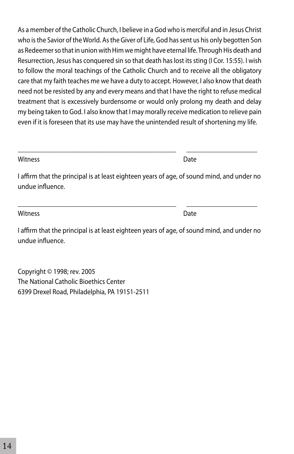who is the Savior of the World. As the Giver of Life, God has sent us his only begotten Son as Redeemer so that in union with Him we might have eternal life. Through His death and Resurrection, Jesus has conquered sin so that death has lost its sting (I Cor. 15:55). I wish to follow the moral teachings of the Catholic Church and to receive all the obligatory care that my faith teaches me we have a duty to accept. However, I also know that death need not be resisted by any and every means and that I have the right to refuse medical treatment that is excessively burdensome or would only prolong my death and delay my being taken to God. I also know that I may morally receive medication to relieve pain even if it is foreseen that its use may have the unintended result of shortening my life.

As a member of the Catholic Church, I believe in a God who is merciful and in Jesus Christ

Witness **Date** 

I affirm that the principal is at least eighteen years of age, of sound mind, and under no undue influence.

\_\_\_\_\_\_\_\_\_\_\_\_\_\_\_\_\_\_\_\_\_\_\_\_\_\_\_\_\_\_\_\_\_\_\_\_\_\_\_\_\_\_\_\_\_\_\_ \_\_\_\_\_\_\_\_\_\_\_\_\_\_\_\_\_\_\_\_\_

\_\_\_\_\_\_\_\_\_\_\_\_\_\_\_\_\_\_\_\_\_\_\_\_\_\_\_\_\_\_\_\_\_\_\_\_\_\_\_\_\_\_\_\_\_\_\_ \_\_\_\_\_\_\_\_\_\_\_\_\_\_\_\_\_\_\_\_\_

Witness **Date** 

I affirm that the principal is at least eighteen years of age, of sound mind, and under no undue influence.

Copyright © 1998; rev. 2005 The National Catholic Bioethics Center 6399 Drexel Road, Philadelphia, PA 19151-2511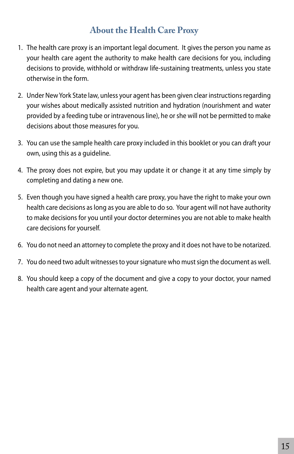### **About the Health Care Proxy**

- 1. The health care proxy is an important legal document. It gives the person you name as your health care agent the authority to make health care decisions for you, including decisions to provide, withhold or withdraw life-sustaining treatments, unless you state otherwise in the form.
- 2. Under New York State law, unless your agent has been given clear instructions regarding your wishes about medically assisted nutrition and hydration (nourishment and water provided by a feeding tube or intravenous line), he or she will not be permitted to make decisions about those measures for you.
- 3. You can use the sample health care proxy included in this booklet or you can draft your own, using this as a guideline.
- 4. The proxy does not expire, but you may update it or change it at any time simply by completing and dating a new one.
- 5. Even though you have signed a health care proxy, you have the right to make your own health care decisions as long as you are able to do so. Your agent will not have authority to make decisions for you until your doctor determines you are not able to make health care decisions for yourself.
- 6. You do not need an attorney to complete the proxy and it does not have to be notarized.
- 7. You do need two adult witnesses to your signature who must sign the document as well.
- 8. You should keep a copy of the document and give a copy to your doctor, your named health care agent and your alternate agent.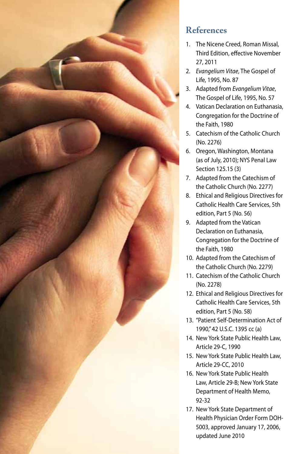

### **References**

- 1. The Nicene Creed, Roman Missal, Third Edition, effective November 27, 2011
- 2. *Evangelium Vitae*, The Gospel of Life, 1995, No. 87
- 3. Adapted from *Evangelium Vitae*, The Gospel of Life, 1995, No. 57
- 4. Vatican Declaration on Euthanasia, Congregation for the Doctrine of the Faith, 1980
- 5. Catechism of the Catholic Church (No. 2276)
- 6. Oregon, Washington, Montana (as of July, 2010); NYS Penal Law Section 125.15 (3)
- 7. Adapted from the Catechism of the Catholic Church (No. 2277)
- 8. Ethical and Religious Directives for Catholic Health Care Services, 5th edition, Part 5 (No. 56)
- 9. Adapted from the Vatican Declaration on Euthanasia, Congregation for the Doctrine of the Faith, 1980
- 10. Adapted from the Catechism of the Catholic Church (No. 2279)
- 11. Catechism of the Catholic Church (No. 2278)
- 12. Ethical and Religious Directives for Catholic Health Care Services, 5th edition, Part 5 (No. 58)
- 13. "Patient Self-Determination Act of 1990," 42 U.S.C. 1395 cc (a)
- 14. New York State Public Health Law, Article 29-C, 1990
- 15. New York State Public Health Law, Article 29-CC, 2010
- 16. New York State Public Health Law, Article 29-B; New York State Department of Health Memo, 92-32
- 17. New York State Department of Health Physician Order Form DOH-5003, approved January 17, 2006, updated June 2010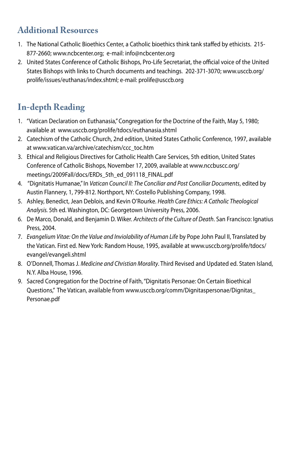### **Additional Resources**

- 1. The National Catholic Bioethics Center, a Catholic bioethics think tank staffed by ethicists. 215- 877-2660; www.ncbcenter.org; e-mail: info@ncbcenter.org
- 2. United States Conference of Catholic Bishops, Pro-Life Secretariat, the official voice of the United States Bishops with links to Church documents and teachings. 202-371-3070; www.usccb.org/ prolife/issues/euthanas/index.shtml; e-mail: prolife@usccb.org

### **In-depth Reading**

- 1. "Vatican Declaration on Euthanasia," Congregation for the Doctrine of the Faith, May 5, 1980; available at www.usccb.org/prolife/tdocs/euthanasia.shtml
- 2. Catechism of the Catholic Church, 2nd edition, United States Catholic Conference, 1997, available at www.vatican.va/archive/catechism/ccc\_toc.htm
- 3. Ethical and Religious Directives for Catholic Health Care Services, 5th edition, United States Conference of Catholic Bishops, November 17, 2009, available at www.nccbuscc.org/ meetings/2009Fall/docs/ERDs\_5th\_ed\_091118\_FINAL.pdf
- 4. "Dignitatis Humanae," In *Vatican Council II: The Conciliar and Post Conciliar Documents*, edited by Austin Flannery, 1, 799-812. Northport, NY: Costello Publishing Company, 1998.
- 5. Ashley, Benedict, Jean Deblois, and Kevin O'Rourke. *Health Care Ethics: A Catholic Theological Analysis.* 5th ed. Washington, DC: Georgetown University Press, 2006.
- 6. De Marco, Donald, and Benjamin D. Wiker. *Architects of the Culture of Death*. San Francisco: Ignatius Press, 2004.
- 7. *Evangelium Vitae: On the Value and Inviolability of Human Life* by Pope John Paul II, Translated by the Vatican. First ed. New York: Random House, 1995, available at www.usccb.org/prolife/tdocs/ evangel/evangeli.shtml
- 8. O'Donnell, Thomas J. *Medicine and Christian Morality*. Third Revised and Updated ed. Staten Island, N.Y. Alba House, 1996.
- 9. Sacred Congregation for the Doctrine of Faith, "Dignitatis Personae: On Certain Bioethical Questions," The Vatican, available from www.usccb.org/comm/Dignitaspersonae/Dignitas\_ Personae.pdf